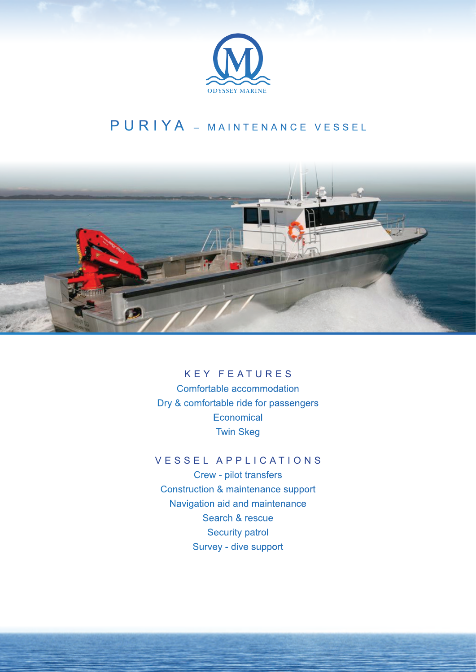

## PURIYA - MAINTENANCE VESSEL



## KEY FEATURES

Comfortable accommodation Dry & comfortable ride for passengers **Economical** Twin Skeg

## VESSEL APPLICATIONS

Crew - pilot transfers Construction & maintenance support Navigation aid and maintenance Search & rescue Security patrol Survey - dive support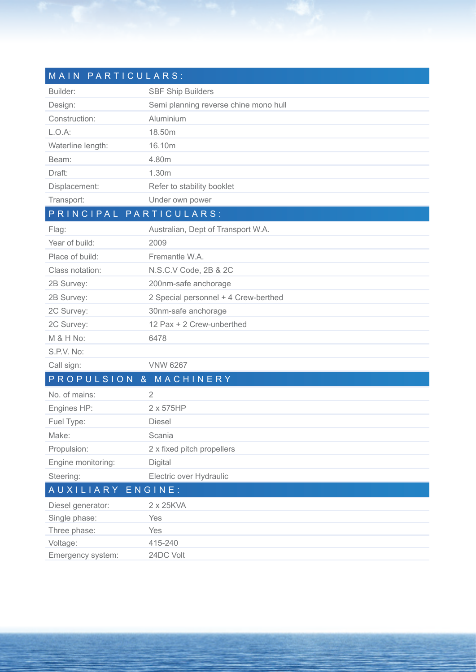| MAIN PARTICULARS:      |                                       |
|------------------------|---------------------------------------|
| Builder:               | <b>SBF Ship Builders</b>              |
| Design:                | Semi planning reverse chine mono hull |
| Construction:          | Aluminium                             |
| $L.O.A$ :              | 18.50m                                |
| Waterline length:      | 16.10m                                |
| Beam:                  | 4.80m                                 |
| Draft:                 | 1.30m                                 |
| Displacement:          | Refer to stability booklet            |
| Transport:             | Under own power                       |
| PRINCIPAL PARTICULARS: |                                       |
| Flag:                  | Australian, Dept of Transport W.A.    |
| Year of build:         | 2009                                  |
| Place of build:        | Fremantle W.A.                        |
| Class notation:        | N.S.C.V Code, 2B & 2C                 |
| 2B Survey:             | 200nm-safe anchorage                  |
| 2B Survey:             | 2 Special personnel + 4 Crew-berthed  |
| 2C Survey:             | 30nm-safe anchorage                   |
| 2C Survey:             | 12 Pax + 2 Crew-unberthed             |
| M & H No:              | 6478                                  |
| S.P.V. No:             |                                       |
| Call sign:             | <b>VNW 6267</b>                       |
| PROPULSION & MACHINERY |                                       |
| No. of mains:          | 2                                     |
| Engines HP:            | 2 x 575HP                             |
| Fuel Type:             | Diesel                                |
| Make:                  | Scania                                |
| Propulsion:            | 2 x fixed pitch propellers            |
| Engine monitoring:     | Digital                               |
| Steering:              | Electric over Hydraulic               |
| AUXILIARY              | ENGINE:                               |
| Diesel generator:      | 2 x 25KVA                             |
| Single phase:          | Yes                                   |
| Three phase:           | Yes                                   |
| Voltage:               | 415-240                               |
| Emergency system:      | 24DC Volt                             |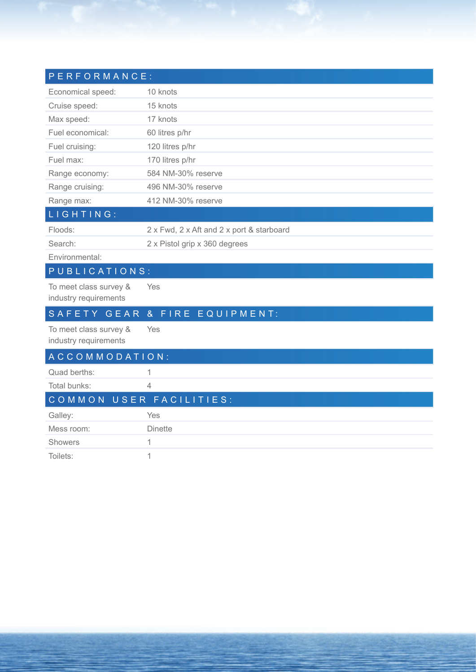| PERFORMANCE:                                    |                                           |
|-------------------------------------------------|-------------------------------------------|
| Economical speed:                               | 10 knots                                  |
| Cruise speed:                                   | 15 knots                                  |
| Max speed:                                      | 17 knots                                  |
| Fuel economical:                                | 60 litres p/hr                            |
| Fuel cruising:                                  | 120 litres p/hr                           |
| Fuel max:                                       | 170 litres p/hr                           |
| Range economy:                                  | 584 NM-30% reserve                        |
| Range cruising:                                 | 496 NM-30% reserve                        |
| Range max:                                      | 412 NM-30% reserve                        |
| LIGHTING:                                       |                                           |
| Floods:                                         | 2 x Fwd, 2 x Aft and 2 x port & starboard |
| Search <sup>-</sup>                             | 2 x Pistol grip x 360 degrees             |
| Environmental:                                  |                                           |
| PUBLICATIONS:                                   |                                           |
| To meet class survey &<br>industry requirements | Yes                                       |
| SAFETY GEAR                                     | FIRE<br>EQUIPMENT:<br>8 <sub>x</sub>      |
| To meet class survey &<br>industry requirements | Yes                                       |
| ACCOMMODATION:                                  |                                           |
| Quad berths:                                    | 1                                         |
| Total bunks:                                    | 4                                         |
| COMMON                                          | USER FACILITIES:                          |
| Galley:                                         | Yes                                       |
| Mess room:                                      | <b>Dinette</b>                            |
| <b>Showers</b>                                  | 1                                         |
| Toilets:                                        | 1                                         |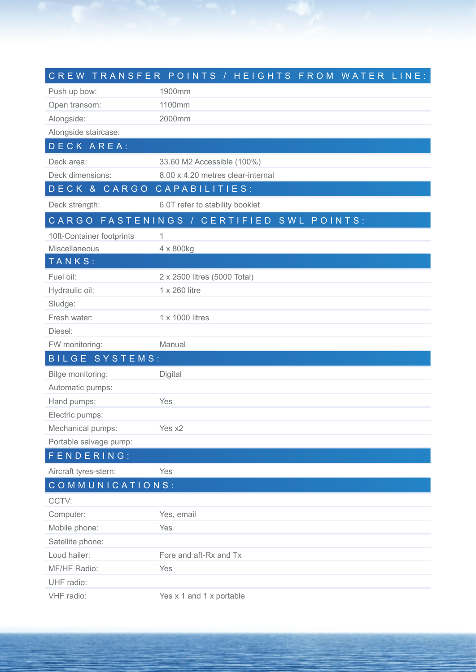|                           | CREW TRANSFER POINTS / HEIGHTS FROM WATER LINE: |
|---------------------------|-------------------------------------------------|
| Push up bow:              | 1900mm                                          |
| Open transom:             | 1100mm                                          |
| Alongside:                | 2000mm                                          |
| Alongside staircase:      |                                                 |
| DECK AREA:                |                                                 |
| Deck area:                | 33.60 M2 Accessible (100%)                      |
| Deck dimensions:          | 8.00 x 4.20 metres clear-internal               |
| DECK & CARGO              | CAPABILITIES:                                   |
| Deck strength:            | 6.0T refer to stability booklet                 |
|                           | CARGO FASTENINGS / CERTIFIED SWL POINTS:        |
| 10ft-Container footprints | 1                                               |
| Miscellaneous             | 4 x 800kg                                       |
| TANKS:                    |                                                 |
| Fuel oil:                 | 2 x 2500 litres (5000 Total)                    |
| Hydraulic oil:            | 1 x 260 litre                                   |
| Sludge:                   |                                                 |
| Fresh water:              | 1 x 1000 litres                                 |
| Diesel:                   |                                                 |
| FW monitoring:            | Manual                                          |
| <b>BILGE SYSTEMS:</b>     |                                                 |
| Bilge monitoring:         | Digital                                         |
| Automatic pumps:          |                                                 |
| Hand pumps:               | Yes                                             |
| Electric pumps:           |                                                 |
| Mechanical pumps:         | Yes x2                                          |
| Portable salvage pump:    |                                                 |
| FENDERING:                |                                                 |
| Aircraft tyres-stern:     | Yes                                             |
| COMMUNICATIONS:           |                                                 |
| CCTV:                     |                                                 |
| Computer:                 | Yes, email                                      |
| Mobile phone:             | Yes                                             |
| Satellite phone:          |                                                 |
| Loud hailer:              | Fore and aft-Rx and Tx                          |
| MF/HF Radio:              | Yes                                             |
| UHF radio:                |                                                 |
| VHF radio:                | Yes x 1 and 1 x portable                        |